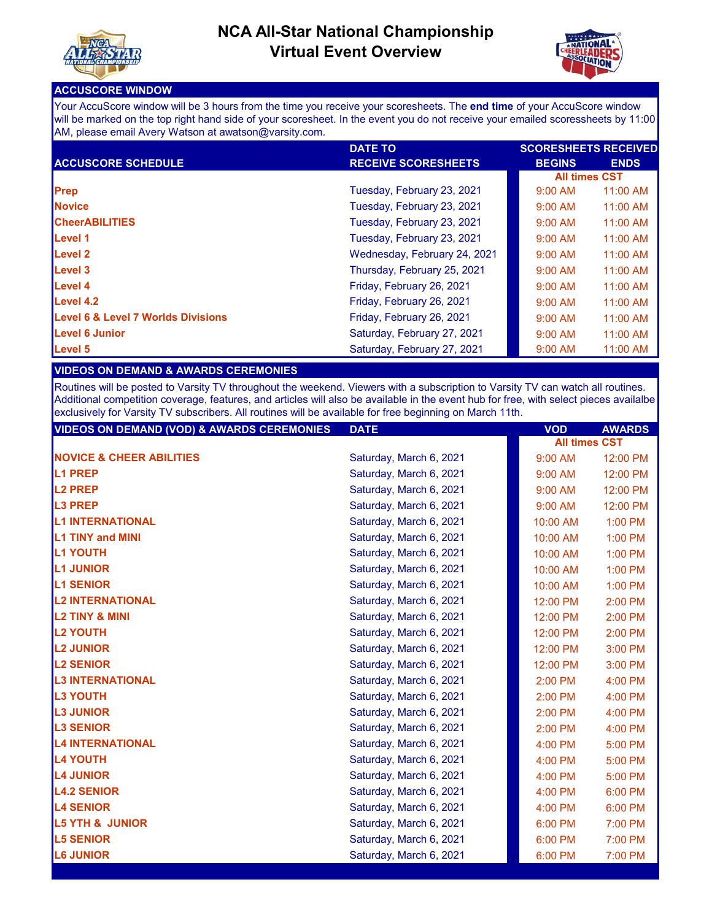



## **ACCUSCORE WINDOW**

Your AccuScore window will be 3 hours from the time you receive your scoresheets. The **end time** of your AccuScore window will be marked on the top right hand side of your scoresheet. In the event you do not receive your emailed scoressheets by 11:00 AM, please email Avery Watson at awatson@varsity.com.

|                                               | <b>DATE TO</b>               | <b>SCORESHEETS RECEIVED</b> |             |
|-----------------------------------------------|------------------------------|-----------------------------|-------------|
| <b>ACCUSCORE SCHEDULE</b>                     | <b>RECEIVE SCORESHEETS</b>   | <b>BEGINS</b>               | <b>ENDS</b> |
|                                               |                              | <b>All times CST</b>        |             |
| Prep                                          | Tuesday, February 23, 2021   | $9:00$ AM                   | 11:00 AM    |
| <b>Novice</b>                                 | Tuesday, February 23, 2021   | $9:00$ AM                   | 11:00 AM    |
| <b>CheerABILITIES</b>                         | Tuesday, February 23, 2021   | $9:00$ AM                   | 11:00 AM    |
| Level 1                                       | Tuesday, February 23, 2021   | $9:00$ AM                   | 11:00 AM    |
| <b>Level 2</b>                                | Wednesday, February 24, 2021 | $9:00$ AM                   | 11:00 AM    |
| Level 3                                       | Thursday, February 25, 2021  | $9:00$ AM                   | 11:00 AM    |
| <b>Level 4</b>                                | Friday, February 26, 2021    | $9:00$ AM                   | $11:00$ AM  |
| Level 4.2                                     | Friday, February 26, 2021    | $9:00$ AM                   | $11:00$ AM  |
| <b>Level 6 &amp; Level 7 Worlds Divisions</b> | Friday, February 26, 2021    | $9:00$ AM                   | $11:00$ AM  |
| <b>Level 6 Junior</b>                         | Saturday, February 27, 2021  | $9:00$ AM                   | 11:00 AM    |
| Level 5                                       | Saturday, February 27, 2021  | $9:00$ AM                   | 11:00 AM    |

## **VIDEOS ON DEMAND & AWARDS CEREMONIES**

Routines will be posted to Varsity TV throughout the weekend. Viewers with a subscription to Varsity TV can watch all routines. Additional competition coverage, features, and articles will also be available in the event hub for free, with select pieces availalbe exclusively for Varsity TV subscribers. All routines will be available for free beginning on March 11th.

| <b>VIDEOS ON DEMAND (VOD) &amp; AWARDS CEREMONIES</b> | <b>DATE</b>             | <b>VOD</b>           | <b>AWARDS</b> |
|-------------------------------------------------------|-------------------------|----------------------|---------------|
|                                                       |                         | <b>All times CST</b> |               |
| <b>INOVICE &amp; CHEER ABILITIES</b>                  | Saturday, March 6, 2021 | 9:00 AM              | 12:00 PM      |
| <b>L1 PREP</b>                                        | Saturday, March 6, 2021 | 9:00 AM              | 12:00 PM      |
| <b>L2 PREP</b>                                        | Saturday, March 6, 2021 | $9:00$ AM            | 12:00 PM      |
| <b>L3 PREP</b>                                        | Saturday, March 6, 2021 | $9:00$ AM            | 12:00 PM      |
| <b>L1 INTERNATIONAL</b>                               | Saturday, March 6, 2021 | 10:00 AM             | 1:00 PM       |
| <b>L1 TINY and MINI</b>                               | Saturday, March 6, 2021 | 10:00 AM             | $1:00$ PM     |
| <b>L1 YOUTH</b>                                       | Saturday, March 6, 2021 | 10:00 AM             | 1:00 PM       |
| <b>L1 JUNIOR</b>                                      | Saturday, March 6, 2021 | 10:00 AM             | $1:00$ PM     |
| <b>L1 SENIOR</b>                                      | Saturday, March 6, 2021 | 10:00 AM             | $1:00$ PM     |
| <b>L2 INTERNATIONAL</b>                               | Saturday, March 6, 2021 | 12:00 PM             | $2:00$ PM     |
| <b>L2 TINY &amp; MINI</b>                             | Saturday, March 6, 2021 | 12:00 PM             | 2:00 PM       |
| <b>L2 YOUTH</b>                                       | Saturday, March 6, 2021 | 12:00 PM             | 2:00 PM       |
| <b>L2 JUNIOR</b>                                      | Saturday, March 6, 2021 | 12:00 PM             | $3:00$ PM     |
| <b>L2 SENIOR</b>                                      | Saturday, March 6, 2021 | 12:00 PM             | 3:00 PM       |
| <b>L3 INTERNATIONAL</b>                               | Saturday, March 6, 2021 | $2:00$ PM            | 4:00 PM       |
| <b>L3 YOUTH</b>                                       | Saturday, March 6, 2021 | 2:00 PM              | 4:00 PM       |
| <b>L3 JUNIOR</b>                                      | Saturday, March 6, 2021 | 2:00 PM              | 4:00 PM       |
| <b>L3 SENIOR</b>                                      | Saturday, March 6, 2021 | $2:00$ PM            | 4:00 PM       |
| <b>L4 INTERNATIONAL</b>                               | Saturday, March 6, 2021 | 4:00 PM              | 5:00 PM       |
| <b>L4 YOUTH</b>                                       | Saturday, March 6, 2021 | 4:00 PM              | 5:00 PM       |
| <b>L4 JUNIOR</b>                                      | Saturday, March 6, 2021 | $4:00$ PM            | 5:00 PM       |
| <b>L4.2 SENIOR</b>                                    | Saturday, March 6, 2021 | 4:00 PM              | 6:00 PM       |
| <b>L4 SENIOR</b>                                      | Saturday, March 6, 2021 | 4:00 PM              | 6:00 PM       |
| <b>L5 YTH &amp; JUNIOR</b>                            | Saturday, March 6, 2021 | 6:00 PM              | 7:00 PM       |
| <b>L5 SENIOR</b>                                      | Saturday, March 6, 2021 | 6:00 PM              | 7:00 PM       |
| <b>L6 JUNIOR</b>                                      | Saturday, March 6, 2021 | 6:00 PM              | 7:00 PM       |